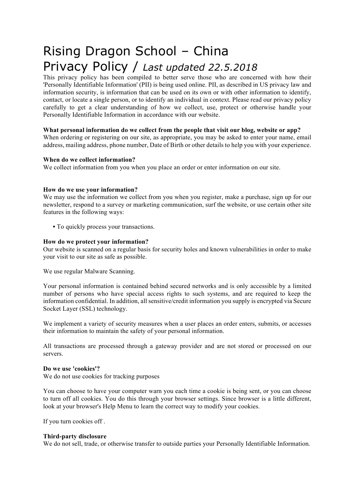# Rising Dragon School – China Privacy Policy / *Last updated 22.5.2018*

This privacy policy has been compiled to better serve those who are concerned with how their 'Personally Identifiable Information' (PII) is being used online. PII, as described in US privacy law and information security, is information that can be used on its own or with other information to identify, contact, or locate a single person, or to identify an individual in context. Please read our privacy policy carefully to get a clear understanding of how we collect, use, protect or otherwise handle your Personally Identifiable Information in accordance with our website.

# **What personal information do we collect from the people that visit our blog, website or app?**

When ordering or registering on our site, as appropriate, you may be asked to enter your name, email address, mailing address, phone number, Date of Birth or other details to help you with your experience.

#### **When do we collect information?**

We collect information from you when you place an order or enter information on our site.

# **How do we use your information?**

We may use the information we collect from you when you register, make a purchase, sign up for our newsletter, respond to a survey or marketing communication, surf the website, or use certain other site features in the following ways:

**•** To quickly process your transactions.

# **How do we protect your information?**

Our website is scanned on a regular basis for security holes and known vulnerabilities in order to make your visit to our site as safe as possible.

We use regular Malware Scanning.

Your personal information is contained behind secured networks and is only accessible by a limited number of persons who have special access rights to such systems, and are required to keep the information confidential. In addition, all sensitive/credit information you supply is encrypted via Secure Socket Layer (SSL) technology.

We implement a variety of security measures when a user places an order enters, submits, or accesses their information to maintain the safety of your personal information.

All transactions are processed through a gateway provider and are not stored or processed on our servers.

#### **Do we use 'cookies'?**

We do not use cookies for tracking purposes

You can choose to have your computer warn you each time a cookie is being sent, or you can choose to turn off all cookies. You do this through your browser settings. Since browser is a little different, look at your browser's Help Menu to learn the correct way to modify your cookies.

If you turn cookies off .

#### **Third-party disclosure**

We do not sell, trade, or otherwise transfer to outside parties your Personally Identifiable Information.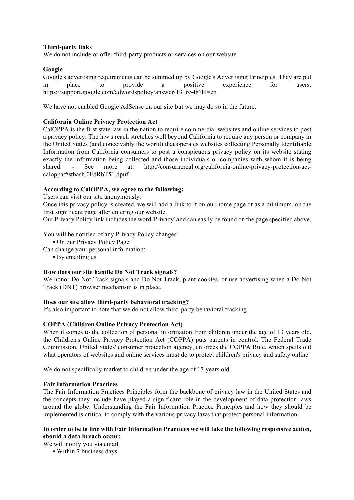#### **Third-party links**

We do not include or offer third-party products or services on our website.

# **Google**

Google's advertising requirements can be summed up by Google's Advertising Principles. They are put in place to provide a positive experience for users. https://support.google.com/adwordspolicy/answer/1316548?hl=en

We have not enabled Google AdSense on our site but we may do so in the future.

# **California Online Privacy Protection Act**

CalOPPA is the first state law in the nation to require commercial websites and online services to post a privacy policy. The law's reach stretches well beyond California to require any person or company in the United States (and conceivably the world) that operates websites collecting Personally Identifiable Information from California consumers to post a conspicuous privacy policy on its website stating exactly the information being collected and those individuals or companies with whom it is being shared. - See more at: http://consumercal.org/california-online-privacy-protection-actcaloppa/#sthash.0FdRbT51.dpuf

# **According to CalOPPA, we agree to the following:**

Users can visit our site anonymously.

Once this privacy policy is created, we will add a link to it on our home page or as a minimum, on the first significant page after entering our website.

Our Privacy Policy link includes the word 'Privacy' and can easily be found on the page specified above.

You will be notified of any Privacy Policy changes:

- **•** On our Privacy Policy Page
- Can change your personal information:
	- **•** By emailing us

#### **How does our site handle Do Not Track signals?**

We honor Do Not Track signals and Do Not Track, plant cookies, or use advertising when a Do Not Track (DNT) browser mechanism is in place.

#### **Does our site allow third-party behavioral tracking?**

It's also important to note that we do not allow third-party behavioral tracking

#### **COPPA (Children Online Privacy Protection Act)**

When it comes to the collection of personal information from children under the age of 13 years old, the Children's Online Privacy Protection Act (COPPA) puts parents in control. The Federal Trade Commission, United States' consumer protection agency, enforces the COPPA Rule, which spells out what operators of websites and online services must do to protect children's privacy and safety online.

We do not specifically market to children under the age of 13 years old.

#### **Fair Information Practices**

The Fair Information Practices Principles form the backbone of privacy law in the United States and the concepts they include have played a significant role in the development of data protection laws around the globe. Understanding the Fair Information Practice Principles and how they should be implemented is critical to comply with the various privacy laws that protect personal information.

#### **In order to be in line with Fair Information Practices we will take the following responsive action, should a data breach occur:**

We will notify you via email

**•** Within 7 business days